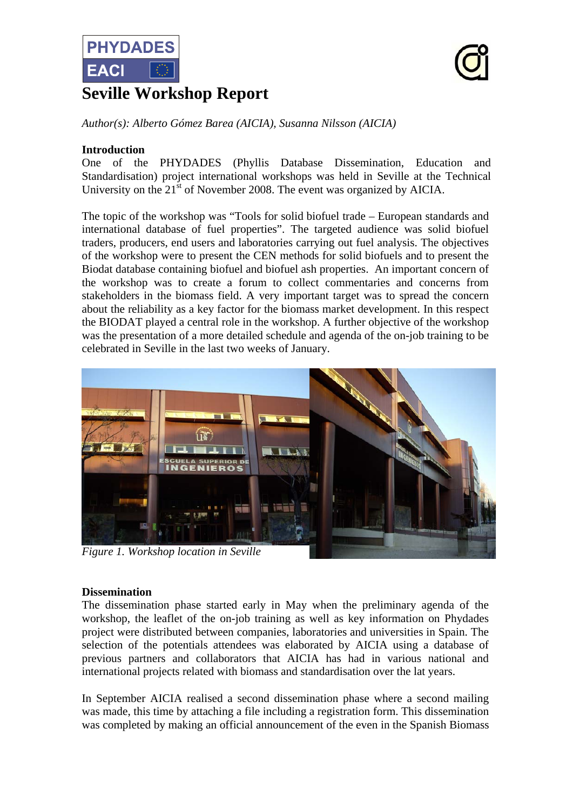

# **Seville Workshop Report**



*Author(s): Alberto Gómez Barea (AICIA), Susanna Nilsson (AICIA)* 

#### **Introduction**

One of the PHYDADES (Phyllis Database Dissemination, Education and Standardisation) project international workshops was held in Seville at the Technical University on the  $21<sup>st</sup>$  of November 2008. The event was organized by AICIA.

The topic of the workshop was "Tools for solid biofuel trade – European standards and international database of fuel properties". The targeted audience was solid biofuel traders, producers, end users and laboratories carrying out fuel analysis. The objectives of the workshop were to present the CEN methods for solid biofuels and to present the Biodat database containing biofuel and biofuel ash properties. An important concern of the workshop was to create a forum to collect commentaries and concerns from stakeholders in the biomass field. A very important target was to spread the concern about the reliability as a key factor for the biomass market development. In this respect the BIODAT played a central role in the workshop. A further objective of the workshop was the presentation of a more detailed schedule and agenda of the on-job training to be celebrated in Seville in the last two weeks of January.



*Figure 1. Workshop location in Seville*

#### **Dissemination**

The dissemination phase started early in May when the preliminary agenda of the workshop, the leaflet of the on-job training as well as key information on Phydades project were distributed between companies, laboratories and universities in Spain. The selection of the potentials attendees was elaborated by AICIA using a database of previous partners and collaborators that AICIA has had in various national and international projects related with biomass and standardisation over the lat years.

In September AICIA realised a second dissemination phase where a second mailing was made, this time by attaching a file including a registration form. This dissemination was completed by making an official announcement of the even in the Spanish Biomass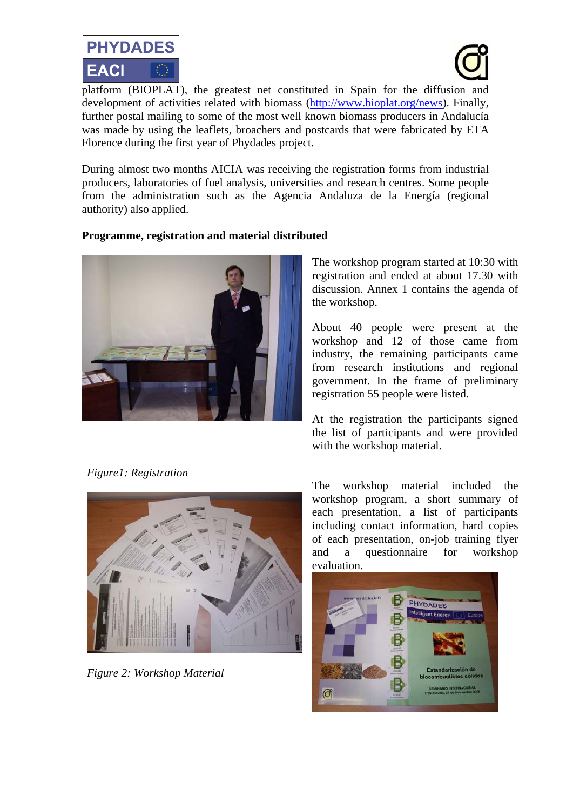



**EACI EXEL**<br>**platform (BIOPLAT)**, the greatest net constituted in Spain for the diffusion and development of activities related with biomass (http://www.bioplat.org/news). Finally, further postal mailing to some of the most well known biomass producers in Andalucía was made by using the leaflets, broachers and postcards that were fabricated by ETA Florence during the first year of Phydades project.

During almost two months AICIA was receiving the registration forms from industrial producers, laboratories of fuel analysis, universities and research centres. Some people from the administration such as the Agencia Andaluza de la Energía (regional authority) also applied.

## **Programme, registration and material distributed**



The workshop program started at 10:30 with registration and ended at about 17.30 with discussion. Annex 1 contains the agenda of the workshop.

About 40 people were present at the workshop and 12 of those came from industry, the remaining participants came from research institutions and regional government. In the frame of preliminary registration 55 people were listed.

At the registration the participants signed the list of participants and were provided with the workshop material.

*Figure1: Registration* 



*Figure 2: Workshop Material*

The workshop material included the workshop program, a short summary of each presentation, a list of participants including contact information, hard copies of each presentation, on-job training flyer and a questionnaire for workshop evaluation.

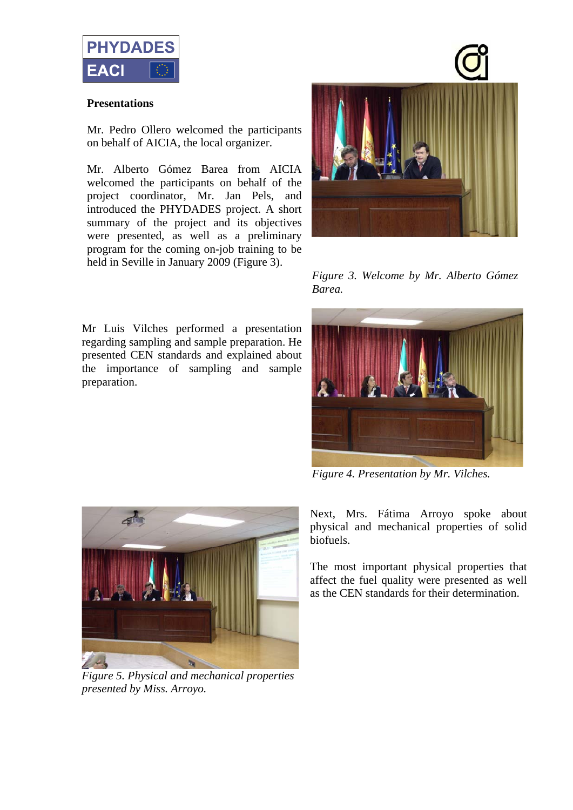

#### **Presentations**

Mr. Pedro Ollero welcomed the participants on behalf of AICIA, the local organizer.

Mr. Alberto Gómez Barea from AICIA welcomed the participants on behalf of the project coordinator, Mr. Jan Pels, and introduced the PHYDADES project. A short summary of the project and its objectives were presented, as well as a preliminary program for the coming on-job training to be held in Seville in January 2009 (Figure 3).

Mr Luis Vilches performed a presentation regarding sampling and sample preparation. He presented CEN standards and explained about the importance of sampling and sample preparation.



*Figure 3. Welcome by Mr. Alberto Gómez Barea.* 



*Figure 4. Presentation by Mr. Vilches.* 



*Figure 5. Physical and mechanical properties presented by Miss. Arroyo.* 

Next, Mrs. Fátima Arroyo spoke about physical and mechanical properties of solid biofuels.

The most important physical properties that affect the fuel quality were presented as well as the CEN standards for their determination.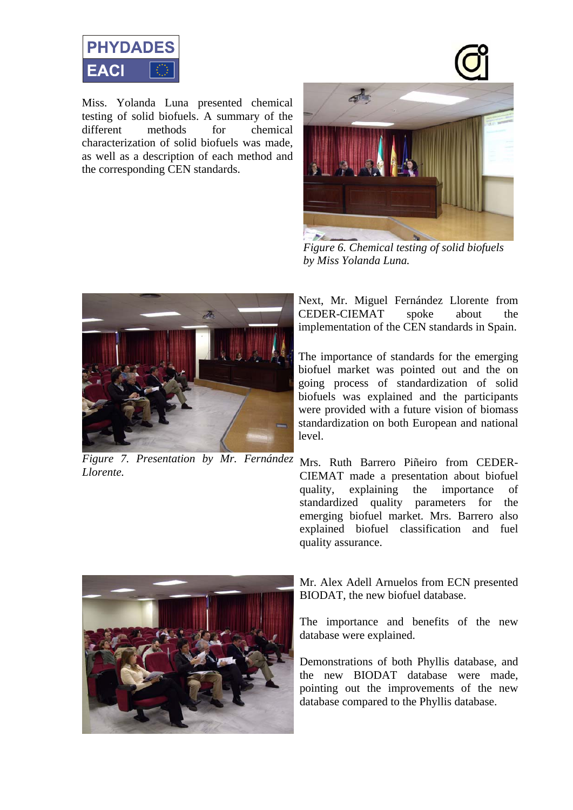

Miss. Yolanda Luna presented chemical testing of solid biofuels. A summary of the different methods for chemical characterization of solid biofuels was made, as well as a description of each method and the corresponding CEN standards.



*Figure 6. Chemical testing of solid biofuels by Miss Yolanda Luna.* 



*Figure 7. Presentation by Mr. Fernández*  Mrs. Ruth Barrero Piñeiro from CEDER-*Llorente.* 

Next, Mr. Miguel Fernández Llorente from CEDER-CIEMAT spoke about the implementation of the CEN standards in Spain.

The importance of standards for the emerging biofuel market was pointed out and the on going process of standardization of solid biofuels was explained and the participants were provided with a future vision of biomass standardization on both European and national level.

CIEMAT made a presentation about biofuel quality, explaining the importance of standardized quality parameters for the emerging biofuel market. Mrs. Barrero also explained biofuel classification and fuel quality assurance.



Mr. Alex Adell Arnuelos from ECN presented BIODAT, the new biofuel database.

The importance and benefits of the new database were explained.

Demonstrations of both Phyllis database, and the new BIODAT database were made, pointing out the improvements of the new database compared to the Phyllis database.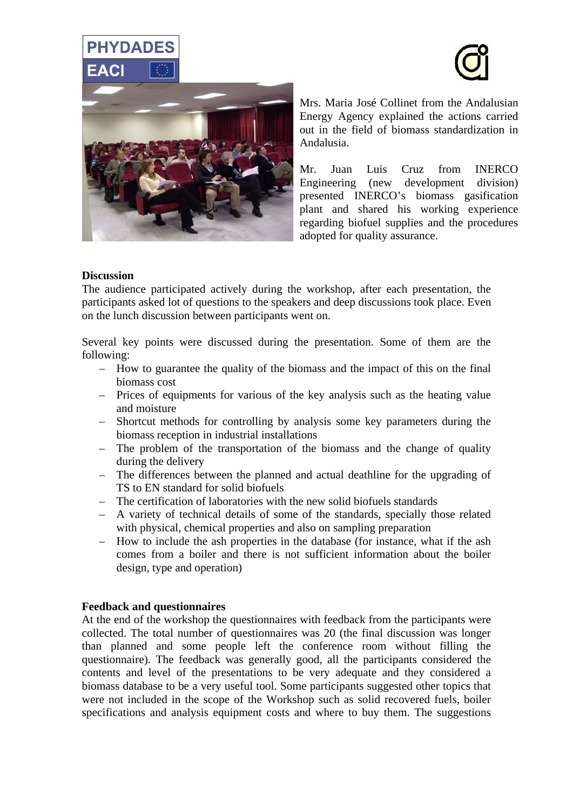



Mrs. Maria José Collinet from the Andalusian Energy Agency explained the actions carried out in the field of biomass standardization in Andalusia.

Mr. Juan Luis Cruz from INERCO Engineering (new development division) presented INERCO's biomass gasification plant and shared his working experience regarding biofuel supplies and the procedures adopted for quality assurance.

#### **Discussion**

**PHYDADES** 

The audience participated actively during the workshop, after each presentation, the participants asked lot of questions to the speakers and deep discussions took place. Even on the lunch discussion between participants went on.

Several key points were discussed during the presentation. Some of them are the following:

- How to guarantee the quality of the biomass and the impact of this on the final biomass cost
- Prices of equipments for various of the key analysis such as the heating value and moisture
- Shortcut methods for controlling by analysis some key parameters during the biomass reception in industrial installations
- The problem of the transportation of the biomass and the change of quality during the delivery
- The differences between the planned and actual deathline for the upgrading of TS to EN standard for solid biofuels
- The certification of laboratories with the new solid biofuels standards
- A variety of technical details of some of the standards, specially those related with physical, chemical properties and also on sampling preparation
- How to include the ash properties in the database (for instance, what if the ash comes from a boiler and there is not sufficient information about the boiler design, type and operation)

#### **Feedback and questionnaires**

At the end of the workshop the questionnaires with feedback from the participants were collected. The total number of questionnaires was 20 (the final discussion was longer than planned and some people left the conference room without filling the questionnaire). The feedback was generally good, all the participants considered the contents and level of the presentations to be very adequate and they considered a biomass database to be a very useful tool. Some participants suggested other topics that were not included in the scope of the Workshop such as solid recovered fuels, boiler specifications and analysis equipment costs and where to buy them. The suggestions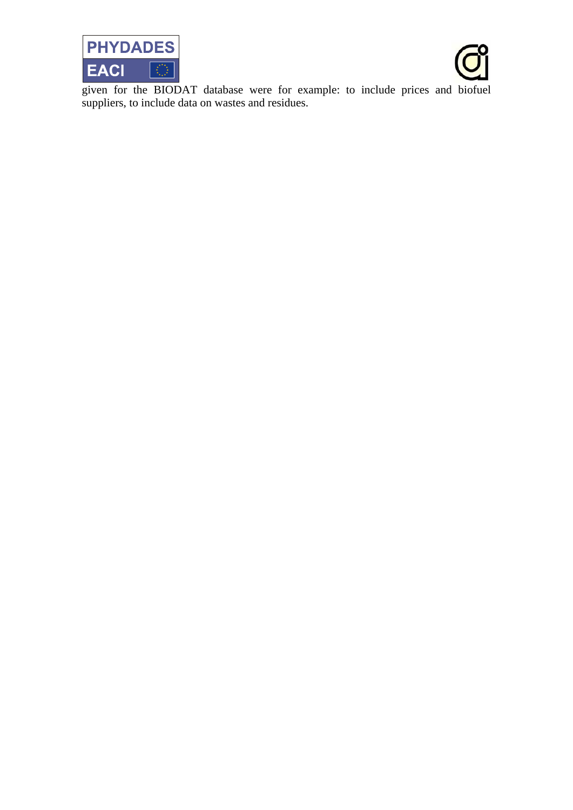



given for the BIODAT database were for example: to include prices and biofuel suppliers, to include data on wastes and residues.